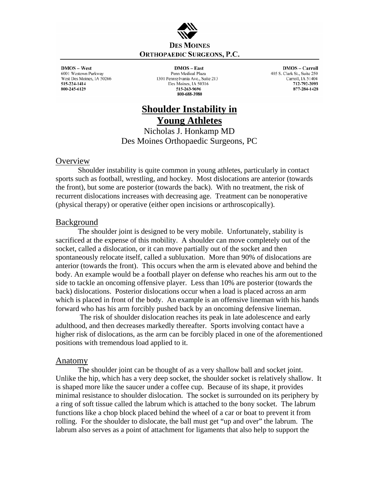

 $DMOS - West$ 6001 Westown Parkway West Des Moines, IA 50266 515-224-1414 800-245-6129

 $DMOS - East$ Penn Medical Plaza 1301 Pennsylvania Ave., Suite 213 Des Moines, IA 50316 515-263-9696 800-688-3980

**DMOS** - Carroll 405 S. Clark St., Suite 250 Carroll, IA 51404 712-792-2093 877-284-1428

# **Shoulder Instability in Young Athletes**

Nicholas J. Honkamp MD Des Moines Orthopaedic Surgeons, PC

### **Overview**

Shoulder instability is quite common in young athletes, particularly in contact sports such as football, wrestling, and hockey. Most dislocations are anterior (towards the front), but some are posterior (towards the back). With no treatment, the risk of recurrent dislocations increases with decreasing age. Treatment can be nonoperative (physical therapy) or operative (either open incisions or arthroscopically).

## **Background**

 The shoulder joint is designed to be very mobile. Unfortunately, stability is sacrificed at the expense of this mobility. A shoulder can move completely out of the socket, called a dislocation, or it can move partially out of the socket and then spontaneously relocate itself, called a subluxation. More than 90% of dislocations are anterior (towards the front). This occurs when the arm is elevated above and behind the body. An example would be a football player on defense who reaches his arm out to the side to tackle an oncoming offensive player. Less than 10% are posterior (towards the back) dislocations. Posterior dislocations occur when a load is placed across an arm which is placed in front of the body. An example is an offensive lineman with his hands forward who has his arm forcibly pushed back by an oncoming defensive lineman.

 The risk of shoulder dislocation reaches its peak in late adolescence and early adulthood, and then decreases markedly thereafter. Sports involving contact have a higher risk of dislocations, as the arm can be forcibly placed in one of the aforementioned positions with tremendous load applied to it.

### Anatomy

 The shoulder joint can be thought of as a very shallow ball and socket joint. Unlike the hip, which has a very deep socket, the shoulder socket is relatively shallow. It is shaped more like the saucer under a coffee cup. Because of its shape, it provides minimal resistance to shoulder dislocation. The socket is surrounded on its periphery by a ring of soft tissue called the labrum which is attached to the bony socket. The labrum functions like a chop block placed behind the wheel of a car or boat to prevent it from rolling. For the shoulder to dislocate, the ball must get "up and over" the labrum. The labrum also serves as a point of attachment for ligaments that also help to support the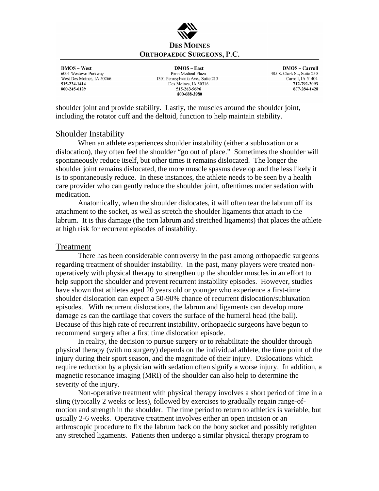

 $DMOS - West$ 6001 Westown Parkway West Des Moines, IA 50266 515-224-1414 800-245-6129

 $DMOS - East$ Penn Medical Plaza 1301 Pennsylvania Ave., Suite 213 Des Moines, IA 50316 515-263-9696 800-688-3980

**DMOS** - Carroll 405 S. Clark St., Suite 250 Carroll, IA 51404 712-792-2093 877-284-1428

shoulder joint and provide stability. Lastly, the muscles around the shoulder joint, including the rotator cuff and the deltoid, function to help maintain stability.

### Shoulder Instability

 When an athlete experiences shoulder instability (either a subluxation or a dislocation), they often feel the shoulder "go out of place." Sometimes the shoulder will spontaneously reduce itself, but other times it remains dislocated. The longer the shoulder joint remains dislocated, the more muscle spasms develop and the less likely it is to spontaneously reduce. In these instances, the athlete needs to be seen by a health care provider who can gently reduce the shoulder joint, oftentimes under sedation with medication.

 Anatomically, when the shoulder dislocates, it will often tear the labrum off its attachment to the socket, as well as stretch the shoulder ligaments that attach to the labrum. It is this damage (the torn labrum and stretched ligaments) that places the athlete at high risk for recurrent episodes of instability.

## Treatment

 There has been considerable controversy in the past among orthopaedic surgeons regarding treatment of shoulder instability. In the past, many players were treated nonoperatively with physical therapy to strengthen up the shoulder muscles in an effort to help support the shoulder and prevent recurrent instability episodes. However, studies have shown that athletes aged 20 years old or younger who experience a first-time shoulder dislocation can expect a 50-90% chance of recurrent dislocation/subluxation episodes. With recurrent dislocations, the labrum and ligaments can develop more damage as can the cartilage that covers the surface of the humeral head (the ball). Because of this high rate of recurrent instability, orthopaedic surgeons have begun to recommend surgery after a first time dislocation episode.

 In reality, the decision to pursue surgery or to rehabilitate the shoulder through physical therapy (with no surgery) depends on the individual athlete, the time point of the injury during their sport season, and the magnitude of their injury. Dislocations which require reduction by a physician with sedation often signify a worse injury. In addition, a magnetic resonance imaging (MRI) of the shoulder can also help to determine the severity of the injury.

 Non-operative treatment with physical therapy involves a short period of time in a sling (typically 2 weeks or less), followed by exercises to gradually regain range-ofmotion and strength in the shoulder. The time period to return to athletics is variable, but usually 2-6 weeks. Operative treatment involves either an open incision or an arthroscopic procedure to fix the labrum back on the bony socket and possibly retighten any stretched ligaments. Patients then undergo a similar physical therapy program to